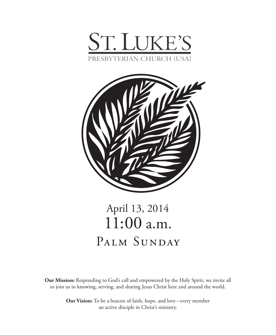



# April 13, 2014 11:00 a.m. PALM SUNDAY

**Our Mission:** Responding to God's call and empowered by the Holy Spirit, we invite all to join us in knowing, serving, and sharing Jesus Christ here and around the world.

> **Our Vision:** To be a beacon of faith, hope, and love – every member an active disciple in Christ's ministry.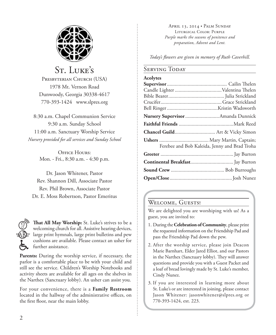

## St. Luke's PRESBYTERIAN CHURCH (USA)

1978 Mt. Vernon Road Dunwoody, Georgia 30338-4617 770-393-1424 www.slpres.org

8:30 a.m. Chapel Communion Service 9:30 a.m. Sunday School 11:00 a.m. Sanctuary Worship Service *Nursery provided for all services and Sunday School*

> Office Hours: Mon. - Fri., 8:30 a.m. - 4:30 p.m.

Dr. Jason Whitener, Pastor Rev. Shannon Dill, Associate Pastor Rev. Phil Brown, Associate Pastor Dr. E. Moss Robertson, Pastor Emeritus



**That All May Worship:** St. Luke's strives to be a welcoming church for all. Assistive hearing devices, large print hymnals, large print bulletins and pew cushions are available. Please contact an usher for further assistance.

**Parents:** During the worship service, if necessary, the parlor is a comfortable place to be with your child and still see the service. Children's Worship Notebooks and activity sheets are available for all ages on the shelves in the Narthex (Sanctuary lobby). An usher can assist you.

For your convenience, there is a **Family Restroom** located in the hallway of the administrative offices, on the first floor, near the main lobby.

April 13, 2014 • Palm Sunday Liturgical Color: Purple *Purple marks the seasons of penitence and preparation, Advent and Lent.* 

*Today's flowers are given in memory of Ruth Caverhill.*

### **SERVING TODAY**

| <b>Acolytes</b>                               |  |
|-----------------------------------------------|--|
|                                               |  |
|                                               |  |
|                                               |  |
|                                               |  |
|                                               |  |
| Nursery Supervisor  Amanda Dunnick            |  |
|                                               |  |
|                                               |  |
|                                               |  |
| Ferebee and Bob Kaleida, Jenny and Brad Troha |  |
|                                               |  |
|                                               |  |
|                                               |  |
|                                               |  |

### WELCOME, GUESTS!

We are delighted you are worshiping with us! As a guest, you are invited to:

- 1. During the **Celebration of Community**, please print the requested information on the Friendship Pad and pass the Friendship Pad down the pew.
- 2. After the worship service, please join Deacon Marie Barnhart, Elder Jared Elliot, and our Pastors in the Narthex (Sanctuary lobby). They will answer questions and provide you with a Guest Packet and a loaf of bread lovingly made by St. Luke's member, Cindy Nunez.
- 3. If you are interested in learning more about St. Luke's or are interested in joining, please contact Jason Whitener: jasonwhitener@slpres.org or 770-393-1424, ext. 223.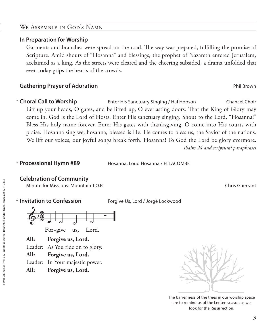### We Assemble in God's Name

### **In Preparation for Worship**

 Garments and branches were spread on the road. The way was prepared, fulfilling the promise of Scripture. Amid shouts of "Hosanna" and blessings, the prophet of Nazareth entered Jerusalem, acclaimed as a king. As the streets were cleared and the cheering subsided, a drama unfolded that even today grips the hearts of the crowds.

### **Gathering Prayer of Adoration Phil Brown Phil Brown Phil Brown Phil Brown Phil Brown Phil Brown Phil Brown Phil Brown Phil Brown Phil Brown Phil Brown Phil Brown Phil Brown Phil Brown Phil Brown Phil Brown Phil Brown Ph**

**Choral Call to Worship** Enter His Sanctuary Singing / Hal Hopson Chancel Choir Lift up your heads, O gates, and be lifted up, O everlasting doors. That the King of Glory may come in. God is the Lord of Hosts. Enter His sanctuary singing. Shout to the Lord, "Hosanna!" Bless His holy name forever. Enter His gates with thanksgiving. O come into His courts with praise. Hosanna sing we; hosanna, blessed is He. He comes to bless us, the Savior of the nations. We lift our voices, our joyful songs break forth. Hosanna! To God the Lord be glory evermore.  *Psalm 24 and scriptural paraphrases* \* Choral Call to Worship

**\* Processional Hymn #89** 

Hosanna, Loud Hosanna / ELLACOMBE

### **Celebration of Community**

Minute for Missions: Mountain T.O.P. Chris Guerrant

### **\* Invitation to Confession**

Forgive Us, Lord / Jorgé Lockwood



Lord. For-give us,

**All: Forgive us, Lord.**

Leader: As You ride on to glory.

**All: Forgive us, Lord.**

Leader: In Your majestic power.

**All: Forgive us, Lord.** 



The barrenness of the trees in our worship space are to remind us of the Lenten season as we look for the Resurrection.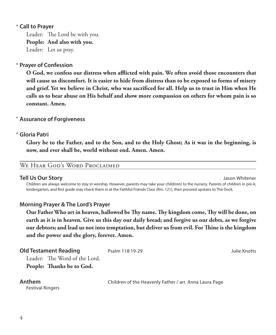### **Call to Prayer**  \*

Leader: The Lord be with you. **People: And also with you.** Leader: Let us pray.

### **Prayer of Confession**  \*

 **O God, we confess our distress when afflicted with pain. We often avoid those encounters that will cause us discomfort. It is easier to hide from distress than to be exposed to forms of misery and grief. Yet we believe in Christ, who was sacrificed for all. Help us to trust in Him when He calls us to bear abuse on His behalf and show more compassion on others for whom pain is so constant. Amen.**

### **Assurance of Forgiveness** \*

### **Gloria Patri** \*

 **Glory be to the Father, and to the Son, and to the Holy Ghost; As it was in the beginning, is now, and ever shall be, world without end. Amen. Amen.**

### WE HEAR GOD'S WORD PROCLAIMED

### **Tell Us Our Story** Jason Whitener

 Children are always welcome to stay in worship. However, parents may take your child(ren) to the nursery. Parents of children in pre-k, kindergarten, and first grade may check them in at the Faithful Friends Class (Rm. 121), then proceed upstairs to The Dock.

### **Morning Prayer & The Lord's Prayer**

 **Our Father Who art in heaven, hallowed be Thy name. Thy kingdom come, Thy will be done, on earth as it is in heaven. Give us this day our daily bread; and forgive us our debts, as we forgive our debtors; and lead us not into temptation, but deliver us from evil. For Thine is the kingdom and the power and the glory, forever. Amen.**

**Anthem** Children of the Heavenly Father / arr. Anna Laura Page

Festival Ringers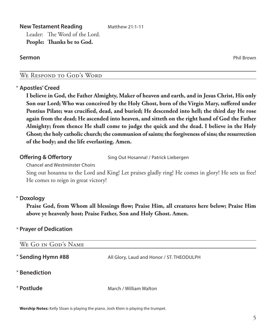**New Testament Reading** Matthew 21:1-11 Leader: The Word of the Lord. **People: Thanks be to God.**

**Sermon** Phil Brown

### We Respond to God's Word

### **Apostles' Creed** \*

 **I believe in God, the Father Almighty, Maker of heaven and earth, and in Jesus Christ, His only Son our Lord; Who was conceived by the Holy Ghost, born of the Virgin Mary, suffered under Pontius Pilate; was crucified, dead, and buried; He descended into hell; the third day He rose again from the dead; He ascended into heaven, and sitteth on the right hand of God the Father Almighty; from thence He shall come to judge the quick and the dead. I believe in the Holy Ghost; the holy catholic church; the communion of saints; the forgiveness of sins; the resurrection of the body; and the life everlasting. Amen.**

**Offering & Offertory** Sing Out Hosanna! / Patrick Liebergen

Chancel and Westminster Choirs

 Sing out hosanna to the Lord and King! Let praises gladly ring! He comes in glory! He sets us free! He comes to reign in great victory!

### **Doxology** \*

 **Praise God, from Whom all blessings flow; Praise Him, all creatures here below; Praise Him above ye heavenly host; Praise Father, Son and Holy Ghost. Amen.**

### **Prayer of Dedication** \*

| WE GO IN GOD'S NAME |                                           |
|---------------------|-------------------------------------------|
| * Sending Hymn #88  | All Glory, Laud and Honor / ST. THEODULPH |
| * Benediction       |                                           |
| * Postlude          | March / William Walton                    |

**Worship Notes:** Kelly Sloan is playing the piano. Josh Klein is playing the trumpet.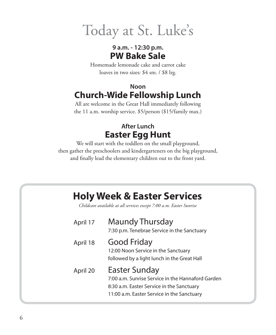Today at St. Luke's

### **9 a.m. - 12:30 p.m. PW Bake Sale**

Homemade lemonade cake and carrot cake loaves in two sizes: \$4 sm. / \$8 lrg.

## **Noon Church-Wide Fellowship Lunch**

All are welcome in the Great Hall immediately following the 11 a.m. worship service. \$5/person (\$15/family max.)

## **After Lunch Easter Egg Hunt**

We will start with the toddlers on the small playground, then gather the preschoolers and kindergarteners on the big playground, and finally lead the elementary children out to the front yard.

## **Holy Week & Easter Services**

*Childcare available at all services except 7:00 a.m. Easter Sunrise*

| April 17 | Maundy Thursday<br>7:30 p.m. Tenebrae Service in the Sanctuary                                                                                                       |
|----------|----------------------------------------------------------------------------------------------------------------------------------------------------------------------|
| April 18 | <b>Good Friday</b><br>12:00 Noon Service in the Sanctuary<br>followed by a light lunch in the Great Hall                                                             |
| April 20 | <b>Easter Sunday</b><br>7:00 a.m. Sunrise Service in the Hannaford Garden<br>8:30 a.m. Easter Service in the Sanctuary<br>11:00 a.m. Easter Service in the Sanctuary |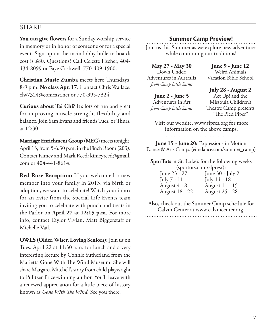### SHARE

**You can give flowers** for a Sunday worship service in memory or in honor of someone or for a special event. Sign up on the main lobby bulletin board; cost is \$80. Questions? Call Celeste Fischer, 404- 434-8099 or Faye Cashwell, 770-409-1960.

**Christian Music Zumba** meets here Thursdays, 8-9 p.m. **No class Apr. 17**. Contact Chris Wallace: clw7324@comcast.net or 770-395-7324.

**Curious about Tai Chi?** It's lots of fun and great for improving muscle strength, flexibility and balance. Join Sam Evans and friends Tues. or Thurs. at 12:30.

**Marriage Enrichment Group (MEG)** meets tonight, April 13, from 5-6:30 p.m. in the Finch Room (203). Contact Kimey and Mark Reed: kimeyreed@gmail. com or 404-441-8614.

**Red Rose Reception:** If you welcomed a new member into your family in 2013, via birth or adoption, we want to celebrate! Watch your inbox for an Evite from the Special Life Events team inviting you to celebrate with punch and treats in the Parlor on **April 27 at 12:15 p.m**. For more info, contact Taylor Vivian, Matt Biggerstaff or Michelle Vail.

**OWLS (Older, Wiser, Loving Seniors):** Join us on Tues. April 22 at 11:30 a.m. for lunch and a very interesting lecture by Connie Sutherland from the Marietta Gone With The Wind Museum. She will share Margaret Mitchell's story from child playwright to Pulitzer Prize-winning author. You'll leave with a renewed appreciation for a little piece of history known as *Gone With The Wind.* See you there!

### **Summer Camp Preview!**

Join us this Summer as we explore new adventures while continuing our traditions!

**May 27 - May 30**  Down Under: Adventures in Australia *from Camp Little Saints*

**June 9 - June 12**  Weird Animals Vacation Bible School

**June 2 - June 5**  Adventures in Art *from Camp Little Saints*

**July 28 - August 2**  Act Up! and the Missoula Children's Theatre Camp presents "The Pied Piper"

Visit our website, www.slpres.org for more information on the above camps. 

**June 15 - June 20:** Expressions in Motion Dance & Arts Camps (eimdance.com/summer\_camp)

**SporTots** at St. Luke's for the following weeks (sportots.com/slpres/):

| June 23 - 27   | June $30 -$ July 2 |
|----------------|--------------------|
| July 7 - 11    | July 14 - 18       |
| August 4 - 8   | August 11 - 15     |
| August 18 - 22 | August 25 - 28     |

Also, check out the Summer Camp schedule for Calvin Center at www.calvincenter.org.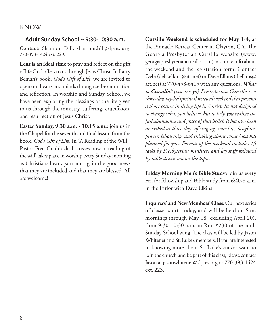### KNOW

**Adult Sunday School ~ 9:30-10:30 a.m. Contact:** Shannon Dill, shannondill@slpres.org; 770-393-1424 ext. 229.

**Lent is an ideal time** to pray and reflect on the gift of life God offers to us through Jesus Christ. In Larry Beman's book, *God's Gift of Life,* we are invited to open our hearts and minds through self-examination and reflection. In worship and Sunday School, we have been exploring the blessings of the life given to us through the ministry, suffering, crucifixion, and resurrection of Jesus Christ.

**Easter Sunday, 9:30 a.m. - 10:15 a.m.:** join us in the Chapel for the seventh and final lesson from the book, *God's Gift of Life*. In "A Reading of the Will," Pastor Fred Craddock discusses how a 'reading of the will' takes place in worship every Sunday morning as Christians hear again and again the good news that they are included and that they are blessed. All are welcome!

**Cursillo Weekend is scheduled for May 1-4,** at the Pinnacle Retreat Center in Clayton, GA. The Georgia Presbyterian Cursillo website (www. georgiapresbyteriancursillo.com) has more info about the weekend and the registration form. Contact Debi (debi.elkins@att.net) or Dave Elkins (d.elkins@ att.net) at 770-458-6415 with any questions. *What is Cursillo? (cur-see-yo) Presbyterian Cursillo is a three-day, lay-led spiritual renewal weekend that presents a short course in living life in Christ. Its not designed to change what you believe, but to help you realize the full abundance and grace of that belief. It has also been described as three days of singing, worship, laughter, prayer, fellowship, and thinking about what God has planned for you. Format of the weekend includes 15 talks by Presbyterian ministers and lay staff followed by table discussion on the topic.*

**Friday Morning Men's Bible Study:** join us every Fri. for fellowship and Bible study from 6:40-8 a.m. in the Parlor with Dave Elkins.

**Inquirers' and New Members' Class:** Our next series of classes starts today, and will be held on Sun. mornings through May 18 (excluding April 20), from 9:30-10:30 a.m. in Rm. #230 of the adult Sunday School wing. The class will be led by Jason Whitener and St. Luke's members. If you are interested in knowing more about St. Luke's and/or want to join the church and be part of this class, please contact Jason at jasonwhitener@slpres.org or 770-393-1424 ext. 223.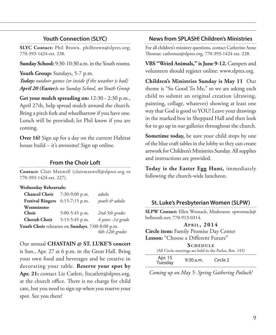### **Youth Connection (SLYC)**

**SLYC Contact:** Phil Brown, philbrown@slpres.org; 770-393-1424 ext. 238.

**Sunday School:** 9:30-10:30 a.m. in the Youth rooms.

**Youth Group:** Sundays, 5-7 p.m. *Today: outdoor games (or inside if the weather is bad) April 20 (Easter): no Sunday School, no Youth Group* 

**Get your mulch spreading on:** 12:30 - 2:30 p.m., April 27th, help spread mulch around the church. Bring a pitch fork and wheelbarrow if you have one. Lunch will be provided; let Phil know if you are coming.

**Over 16?** Sign up for a day on the current Habitat house build – it's awesome! Sign up online.

### **From the Choir Loft**

**Contact:** Clair Maxwell (clairmaxwell@slpres.org or 770-393-1424 ext. 227).

**Wednesday Rehearsals:**

| <b>Chancel Choir</b> 7:30-9:00 p.m.              |                  | adults             |
|--------------------------------------------------|------------------|--------------------|
| Festival Ringers 6:15-7:15 p.m.                  |                  | youth & adults     |
| Westminster                                      |                  |                    |
| Choir                                            | $5:00-5:45$ p.m. | 2nd-5th grades     |
| <b>Cherub Choir</b>                              | 5:15-5:45 p.m.   | 4 years -1st grade |
| Youth Choir rehearses on Sundays, 7:00-8:00 p.m. |                  |                    |
|                                                  |                  | 6th-12th grades    |

Our annual **CHASTAIN @ ST. LUKE'S concert**  is Sun., Apr. 27 at 6 p.m. in the Great Hall. Bring your own food and beverages and be creative in decorating your table. **Reserve your spot by**  Apr. 21: contact Liz Catlett, lizcatlett@slpres.org, at the church office. There is no charge for child care, but you need to sign up when you reserve your spot. See you there!

### **News from SPLASH! Children's Ministries**

For all children's ministry questions, contact Catherine Anne Thomas: cathomas@slpres.org, 770-393-1424 ext. 228.

**VBS "Weird Animals," is June 9-12.** Campers and volunteers should register online: www.slpres.org.

**Children's Ministries Sunday is May 11** Our theme is "So Good To Me," so we are asking each child to submit an original creation (drawing, painting, collage, whatever) showing at least one way that God is good to YOU! Leave your drawings in the marked box in Sheppard Hall and then look for to go up in our galleries throughout the church.

**Sometime today,** be sure your child stops by one of the blue craft tables in the lobby so they can create artwork for Children's Ministries Sunday. All supplies and instructions are provided.

**Today is the Easter Egg Hunt,** immediately following the church-wide luncheon.

### **St. Luke's Presbyterian Women (SLPW)**

**SLPW Contact:** Ellen Womack, Moderator, epwomack@ bellsouth.net; 770-913-0314.

### **Ap r i l , 2014**

**Circle item:** Family Promise Day Center **Lesson:** "Choose a Different Future"

SCHEDULE

|                    |             | (All Circle meetings are held in the Parlor, Rm. 145) |  |
|--------------------|-------------|-------------------------------------------------------|--|
| Apr. 15<br>Tuesday | $9:30$ a.m. | Circle 2                                              |  |

*Coming up on May 5: Spring Gathering Potluck!*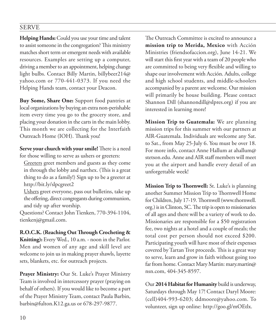### SERVE

**Helping Hands:** Could you use your time and talent to assist someone in the congregation? This ministry matches short term or emergent needs with available resources. Examples are setting up a computer, driving a member to an appointment, helping change light bulbs. Contact Billy Martin, billybeer214@ yahoo.com or 770-441-0373. If you need the Helping Hands team, contact your Deacon.

**Buy Some, Share One:** Support food pantries at local organizations by buying an extra non-perishable item every time you go to the grocery store, and placing your donation in the carts in the main lobby. This month we are collecting for the Interfaith Outreach Home (IOH). Thank you!

**Serve your church with your smile!** There is a need for those willing to serve as ushers or greeters:

 Greeters greet members and guests as they come in through the lobby and narthex. (This is a great thing to do as a family!) Sign up to be a greeter at http://bit.ly/slpcgreet2

 Ushers greet everyone, pass out bulletins, take up the offering, direct congregants during communion, and tidy up after worship.

Questions? Contact John Tienken, 770-394-1104, tienkenj@gmail.com.

**R.O.C.K. (Reaching Out Through Crocheting & Knitting):** Every Wed., 10 a.m. - noon in the Parlor. Men and women of any age and skill level are welcome to join us in making prayer shawls, layette sets, blankets, etc. for outreach projects.

**Prayer Ministry:** Our St. Luke's Prayer Ministry Team is involved in intercessory prayer (praying on behalf of others). If you would like to become a part of the Prayer Ministry Team, contact Paula Barbin, barbin@fulton.K12.ga.us or 678-297-9877.

The Outreach Committee is excited to announce a **mission trip to Merida, Mexico** with Acción Ministries (friendsofaccion.org), June 14-21. We will start this first year with a team of 20 people who are committed to being very flexible and willing to shape our involvement with Acción. Adults, college and high school students, and middle-schoolers accompanied by a parent are welcome. Our mission will primarily be house building. Please contact Shannon Dill (shannondill@slpres.org) if you are interested in learning more!

**Mission Trip to Guatemala:** We are planning mission trips for this summer with our partners at AIR-Guatemala. Individuals are welcome any Sat. to Sat., from May 25-July 6. You must be over 18. For more info, contact Anne Hallum at ahallum@ stetson.edu. Anne and AIR staff members will meet you at the airport and handle every detail of an unforgettable week!

**Mission Trip to Thornwell:** St. Luke's is planning another Summer Mission Trip to Thornwell Home for Children, July 17-19. Thornwell (www.thornwell. org.) is in Clinton, SC. The trip is open to missionaries of all ages and there will be a variety of work to do. Missionaries are responsible for a \$50 registration fee, two nights at a hotel and a couple of meals; the total cost per person should not exceed \$200. Participating youth will have most of their expenses covered by Tartan Trot proceeds. This is a great way to serve, learn and grow in faith without going too far from home. Contact Mary Martin: mary.martin@ nsn.com, 404-345-8597.

Our **2014 Habitat for Humanity** build is underway, Saturdays through May 17! Contact Daryl Moore: (cell)404-993-6203; ddmoore@yahoo.com. To volunteer, sign up online: http://goo.gl/mOEtlx.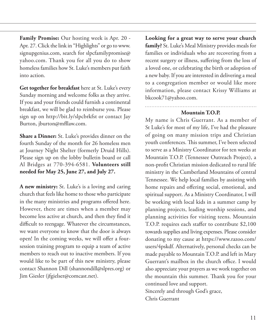**Family Promise:** Our hosting week is Apr. 20 - Apr. 27. Click the link in "Highlights" or go to www. signupgenius.com, search for slpcfamilypromise@ yahoo.com. Thank you for all you do to show homeless families how St. Luke's members put faith into action.

**Get together for breakfast** here at St. Luke's every Sunday morning and welcome folks as they arrive. If you and your friends could furnish a continental breakfast, we will be glad to reimburse you. Please sign up on http://bit.ly/slpcbrkfst or contact Jay Burton, jburton@mfllaw.com.

**Share a Dinner:** St. Luke's provides dinner on the fourth Sunday of the month for 26 homeless men at Journey Night Shelter (formerly Druid Hills). Please sign up on the lobby bulletin board or call Al Bridges at 770-394-6581. **Volunteers still needed for May 25, June 27, and July 27.**

**A new ministry:** St. Luke's is a loving and caring church that feels like home to those who participate in the many ministries and programs offered here. However, there are times when a member may become less active at church, and then they find it difficult to reengage. Whatever the circumstances, we want everyone to know that the door is always open! In the coming weeks, we will offer a foursession training program to equip a team of active members to reach out to inactive members. If you would like to be part of this new ministry, please contact Shannon Dill (shannondill@slpres.org) or Jim Giesler (jfgielser@comcast.net).

**Looking for a great way to serve your church family?** St. Luke's Meal Ministry provides meals for families or individuals who are recovering from a recent surgery or illness, suffering from the loss of a loved one, or celebrating the birth or adoption of a new baby. If you are interested in delivering a meal to a congregation member or would like more information, please contact Krissy Williams at bkcook71@yahoo.com.

### **Mountain T.O.P.**

My name is Chris Guerrant. As a member of St Luke's for most of my life, I've had the pleasure of going on many mission trips and Christian youth conferences. This summer, I've been selected to serve as a Ministry Coordinator for ten weeks at Mountain T.O.P. (Tennessee Outreach Project), a non-profit Christian mission dedicated to rural life ministry in the Cumberland Mountains of central Tennessee. We help local families by assisting with home repairs and offering social, emotional, and spiritual support. As a Ministry Coordinator, I will be working with local kids in a summer camp by planning projects, leading worship sessions, and planning activities for visiting teens. Mountain T.O.P. requires each staffer to contribute \$2,100 towards supplies and living expenses. Please consider donating to my cause at https://www.razoo.com/ users/4pskdf. Alternatively, personal checks can be made payable to Mountain T.O.P. and left in Mary Guerrant's mailbox in the church office. I would also appreciate your prayers as we work together on the mountain this summer. Thank you for your continued love and support. Sincerely and through God's grace, Chris Guerrant